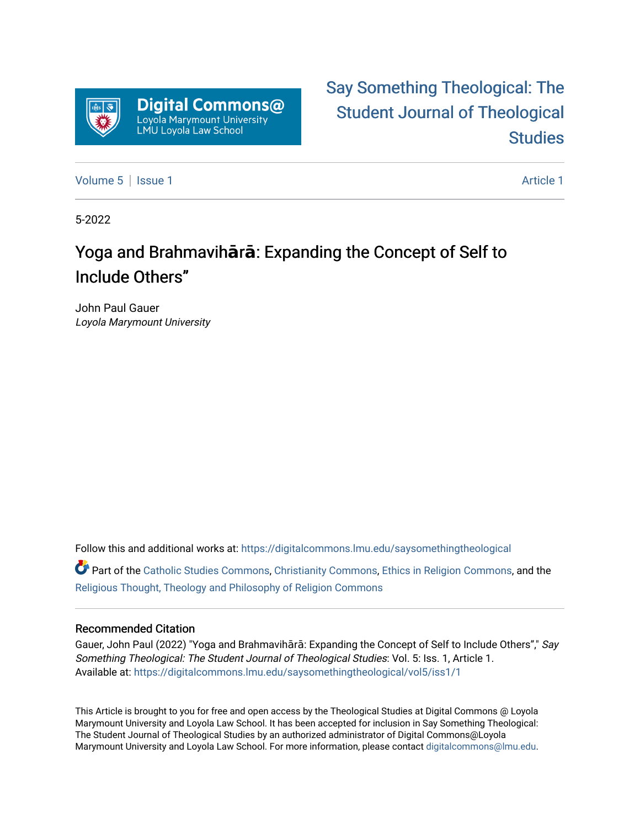

# [Say Something Theological: The](https://digitalcommons.lmu.edu/saysomethingtheological)  [Student Journal of Theological](https://digitalcommons.lmu.edu/saysomethingtheological)  **Studies**

[Volume 5](https://digitalcommons.lmu.edu/saysomethingtheological/vol5) | [Issue 1](https://digitalcommons.lmu.edu/saysomethingtheological/vol5/iss1) Article 1

5-2022

## Yoga and Brahmavihara: Expanding the Concept of Self to Include Others"

John Paul Gauer Loyola Marymount University

Follow this and additional works at: [https://digitalcommons.lmu.edu/saysomethingtheological](https://digitalcommons.lmu.edu/saysomethingtheological?utm_source=digitalcommons.lmu.edu%2Fsaysomethingtheological%2Fvol5%2Fiss1%2F1&utm_medium=PDF&utm_campaign=PDFCoverPages)

Part of the [Catholic Studies Commons](http://network.bepress.com/hgg/discipline/1294?utm_source=digitalcommons.lmu.edu%2Fsaysomethingtheological%2Fvol5%2Fiss1%2F1&utm_medium=PDF&utm_campaign=PDFCoverPages), [Christianity Commons](http://network.bepress.com/hgg/discipline/1181?utm_source=digitalcommons.lmu.edu%2Fsaysomethingtheological%2Fvol5%2Fiss1%2F1&utm_medium=PDF&utm_campaign=PDFCoverPages), [Ethics in Religion Commons,](http://network.bepress.com/hgg/discipline/541?utm_source=digitalcommons.lmu.edu%2Fsaysomethingtheological%2Fvol5%2Fiss1%2F1&utm_medium=PDF&utm_campaign=PDFCoverPages) and the [Religious Thought, Theology and Philosophy of Religion Commons](http://network.bepress.com/hgg/discipline/544?utm_source=digitalcommons.lmu.edu%2Fsaysomethingtheological%2Fvol5%2Fiss1%2F1&utm_medium=PDF&utm_campaign=PDFCoverPages) 

#### Recommended Citation

Gauer, John Paul (2022) "Yoga and Brahmavihārā: Expanding the Concept of Self to Include Others"," Say Something Theological: The Student Journal of Theological Studies: Vol. 5: Iss. 1, Article 1. Available at: [https://digitalcommons.lmu.edu/saysomethingtheological/vol5/iss1/1](https://digitalcommons.lmu.edu/saysomethingtheological/vol5/iss1/1?utm_source=digitalcommons.lmu.edu%2Fsaysomethingtheological%2Fvol5%2Fiss1%2F1&utm_medium=PDF&utm_campaign=PDFCoverPages) 

This Article is brought to you for free and open access by the Theological Studies at Digital Commons @ Loyola Marymount University and Loyola Law School. It has been accepted for inclusion in Say Something Theological: The Student Journal of Theological Studies by an authorized administrator of Digital Commons@Loyola Marymount University and Loyola Law School. For more information, please contact [digitalcommons@lmu.edu](mailto:digitalcommons@lmu.edu).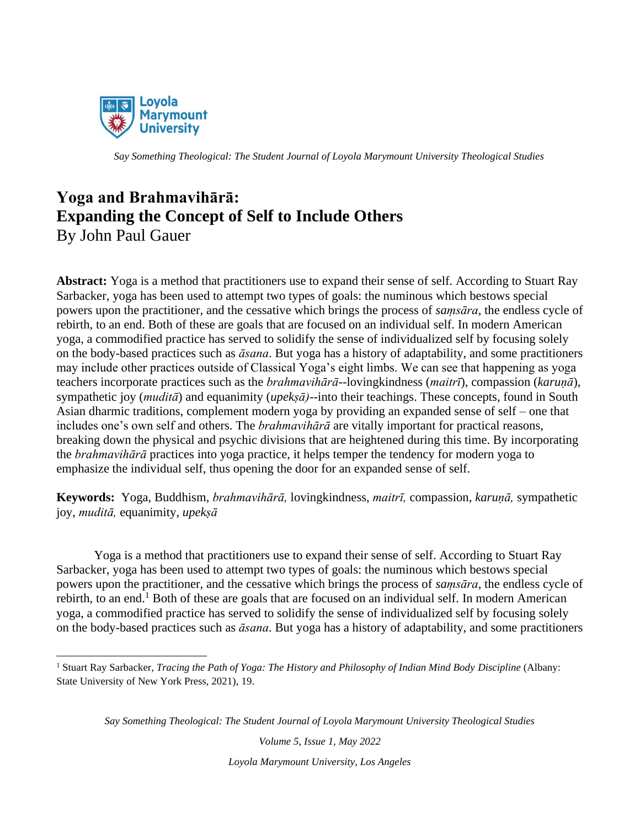

### **Yoga and Brahmavihārā: Expanding the Concept of Self to Include Others** By John Paul Gauer

**Abstract:** Yoga is a method that practitioners use to expand their sense of self. According to Stuart Ray Sarbacker, yoga has been used to attempt two types of goals: the numinous which bestows special powers upon the practitioner, and the cessative which brings the process of *saṃsāra*, the endless cycle of rebirth, to an end. Both of these are goals that are focused on an individual self. In modern American yoga, a commodified practice has served to solidify the sense of individualized self by focusing solely on the body-based practices such as *āsana*. But yoga has a history of adaptability, and some practitioners may include other practices outside of Classical Yoga's eight limbs. We can see that happening as yoga teachers incorporate practices such as the *brahmavihārā*--lovingkindness (*maitrī*), compassion (*karuṇā*), sympathetic joy (*muditā*) and equanimity (*upekṣā)--*into their teachings. These concepts, found in South Asian dharmic traditions, complement modern yoga by providing an expanded sense of self – one that includes one's own self and others. The *brahmavihārā* are vitally important for practical reasons, breaking down the physical and psychic divisions that are heightened during this time. By incorporating the *brahmavihārā* practices into yoga practice, it helps temper the tendency for modern yoga to emphasize the individual self, thus opening the door for an expanded sense of self.

**Keywords:** Yoga, Buddhism, *brahmavihārā,* lovingkindness, *maitrī,* compassion, *karuṇā,* sympathetic joy, *muditā,* equanimity, *upekṣā*

Yoga is a method that practitioners use to expand their sense of self. According to Stuart Ray Sarbacker, yoga has been used to attempt two types of goals: the numinous which bestows special powers upon the practitioner, and the cessative which brings the process of *saṃsāra*, the endless cycle of rebirth, to an end.<sup>1</sup> Both of these are goals that are focused on an individual self. In modern American yoga, a commodified practice has served to solidify the sense of individualized self by focusing solely on the body-based practices such as *āsana*. But yoga has a history of adaptability, and some practitioners

*Say Something Theological: The Student Journal of Loyola Marymount University Theological Studies*

<sup>1</sup> Stuart Ray Sarbacker, *Tracing the Path of Yoga: The History and Philosophy of Indian Mind Body Discipline* (Albany: State University of New York Press, 2021), 19.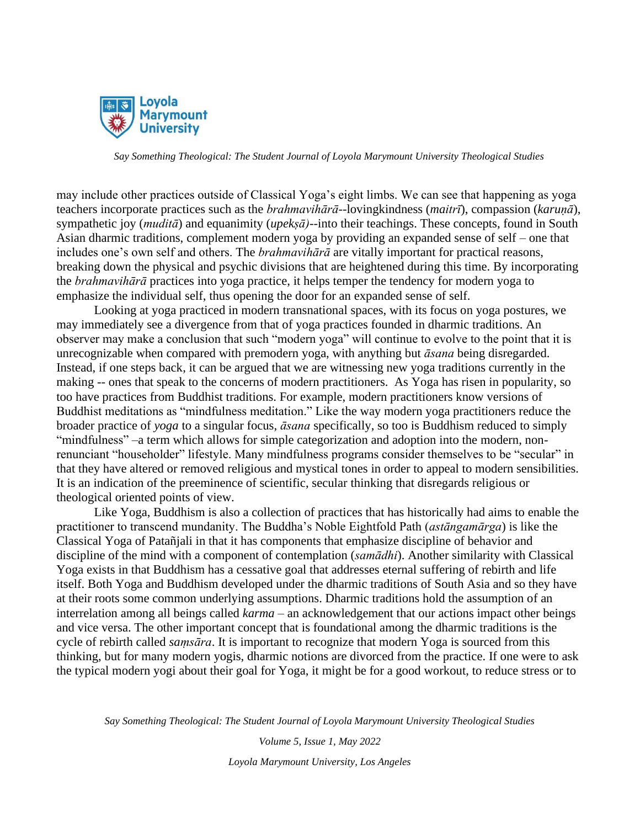

may include other practices outside of Classical Yoga's eight limbs. We can see that happening as yoga teachers incorporate practices such as the *brahmavihārā*--lovingkindness (*maitrī*), compassion (*karuṇā*), sympathetic joy (*muditā*) and equanimity (*upekṣā)--*into their teachings. These concepts, found in South Asian dharmic traditions, complement modern yoga by providing an expanded sense of self – one that includes one's own self and others. The *brahmavihārā* are vitally important for practical reasons, breaking down the physical and psychic divisions that are heightened during this time. By incorporating the *brahmavihārā* practices into yoga practice, it helps temper the tendency for modern yoga to emphasize the individual self, thus opening the door for an expanded sense of self.

Looking at yoga practiced in modern transnational spaces, with its focus on yoga postures, we may immediately see a divergence from that of yoga practices founded in dharmic traditions. An observer may make a conclusion that such "modern yoga" will continue to evolve to the point that it is unrecognizable when compared with premodern yoga, with anything but *āsana* being disregarded. Instead, if one steps back, it can be argued that we are witnessing new yoga traditions currently in the making -- ones that speak to the concerns of modern practitioners. As Yoga has risen in popularity, so too have practices from Buddhist traditions. For example, modern practitioners know versions of Buddhist meditations as "mindfulness meditation." Like the way modern yoga practitioners reduce the broader practice of *yoga* to a singular focus, *āsana* specifically, so too is Buddhism reduced to simply "mindfulness" –a term which allows for simple categorization and adoption into the modern, nonrenunciant "householder" lifestyle. Many mindfulness programs consider themselves to be "secular" in that they have altered or removed religious and mystical tones in order to appeal to modern sensibilities. It is an indication of the preeminence of scientific, secular thinking that disregards religious or theological oriented points of view.

Like Yoga, Buddhism is also a collection of practices that has historically had aims to enable the practitioner to transcend mundanity. The Buddha's Noble Eightfold Path (*astāngamārga*) is like the Classical Yoga of Patañjali in that it has components that emphasize discipline of behavior and discipline of the mind with a component of contemplation (*samādhi*). Another similarity with Classical Yoga exists in that Buddhism has a cessative goal that addresses eternal suffering of rebirth and life itself. Both Yoga and Buddhism developed under the dharmic traditions of South Asia and so they have at their roots some common underlying assumptions. Dharmic traditions hold the assumption of an interrelation among all beings called *karma* – an acknowledgement that our actions impact other beings and vice versa. The other important concept that is foundational among the dharmic traditions is the cycle of rebirth called *saṃsāra*. It is important to recognize that modern Yoga is sourced from this thinking, but for many modern yogis, dharmic notions are divorced from the practice. If one were to ask the typical modern yogi about their goal for Yoga, it might be for a good workout, to reduce stress or to

*Say Something Theological: The Student Journal of Loyola Marymount University Theological Studies*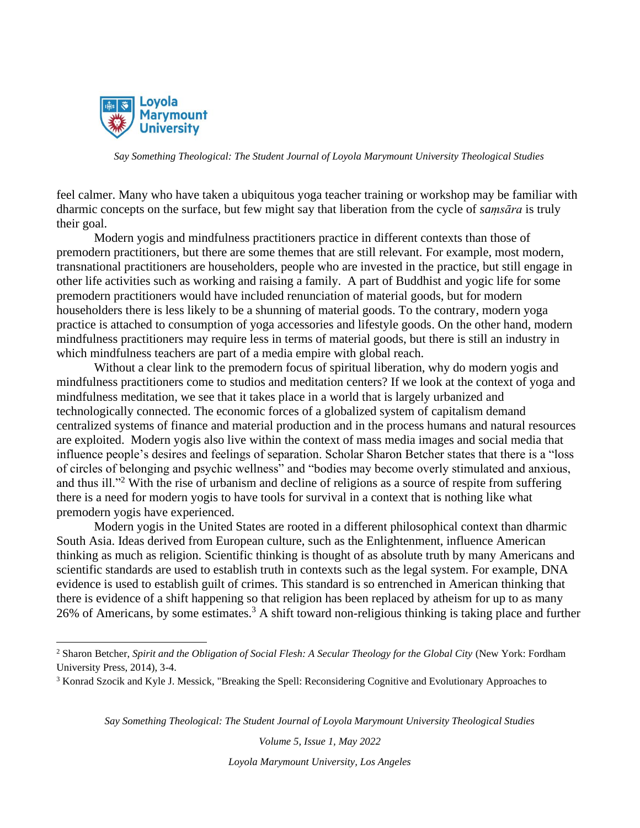

feel calmer. Many who have taken a ubiquitous yoga teacher training or workshop may be familiar with dharmic concepts on the surface, but few might say that liberation from the cycle of *saṃsāra* is truly their goal.

Modern yogis and mindfulness practitioners practice in different contexts than those of premodern practitioners, but there are some themes that are still relevant. For example, most modern, transnational practitioners are householders, people who are invested in the practice, but still engage in other life activities such as working and raising a family. A part of Buddhist and yogic life for some premodern practitioners would have included renunciation of material goods, but for modern householders there is less likely to be a shunning of material goods. To the contrary, modern yoga practice is attached to consumption of yoga accessories and lifestyle goods. On the other hand, modern mindfulness practitioners may require less in terms of material goods, but there is still an industry in which mindfulness teachers are part of a media empire with global reach.

Without a clear link to the premodern focus of spiritual liberation, why do modern yogis and mindfulness practitioners come to studios and meditation centers? If we look at the context of yoga and mindfulness meditation, we see that it takes place in a world that is largely urbanized and technologically connected. The economic forces of a globalized system of capitalism demand centralized systems of finance and material production and in the process humans and natural resources are exploited. Modern yogis also live within the context of mass media images and social media that influence people's desires and feelings of separation. Scholar Sharon Betcher states that there is a "loss of circles of belonging and psychic wellness" and "bodies may become overly stimulated and anxious, and thus ill."<sup>2</sup> With the rise of urbanism and decline of religions as a source of respite from suffering there is a need for modern yogis to have tools for survival in a context that is nothing like what premodern yogis have experienced.

Modern yogis in the United States are rooted in a different philosophical context than dharmic South Asia. Ideas derived from European culture, such as the Enlightenment, influence American thinking as much as religion. Scientific thinking is thought of as absolute truth by many Americans and scientific standards are used to establish truth in contexts such as the legal system. For example, DNA evidence is used to establish guilt of crimes. This standard is so entrenched in American thinking that there is evidence of a shift happening so that religion has been replaced by atheism for up to as many 26% of Americans, by some estimates.<sup>3</sup> A shift toward non-religious thinking is taking place and further

*Say Something Theological: The Student Journal of Loyola Marymount University Theological Studies*

*Volume 5, Issue 1, May 2022*

<sup>2</sup> Sharon Betcher, *Spirit and the Obligation of Social Flesh: A Secular Theology for the Global City* (New York: Fordham University Press, 2014), 3-4.

<sup>3</sup> Konrad Szocik and Kyle J. Messick, "Breaking the Spell: Reconsidering Cognitive and Evolutionary Approaches to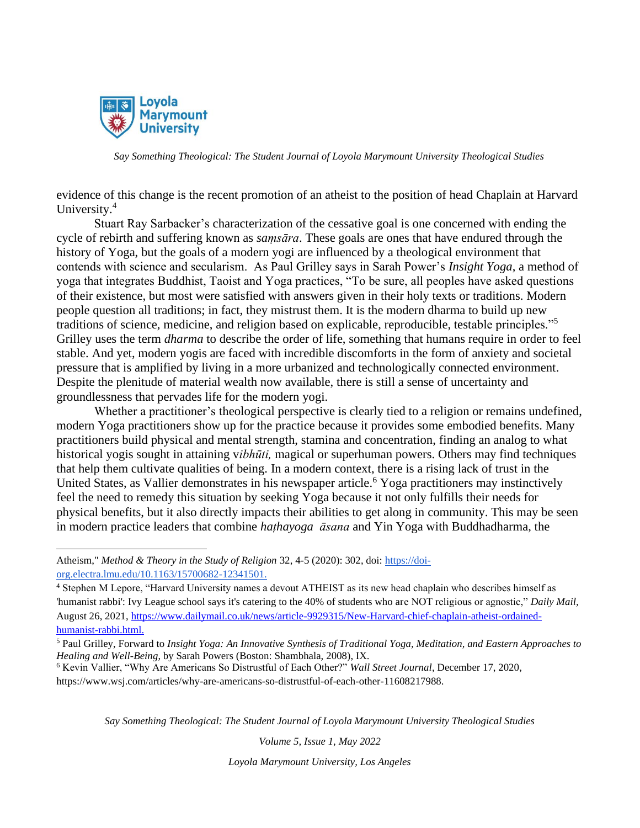

evidence of this change is the recent promotion of an atheist to the position of head Chaplain at Harvard University.<sup>4</sup>

Stuart Ray Sarbacker's characterization of the cessative goal is one concerned with ending the cycle of rebirth and suffering known as *saṃsāra*. These goals are ones that have endured through the history of Yoga, but the goals of a modern yogi are influenced by a theological environment that contends with science and secularism. As Paul Grilley says in Sarah Power's *Insight Yoga*, a method of yoga that integrates Buddhist, Taoist and Yoga practices, "To be sure, all peoples have asked questions of their existence, but most were satisfied with answers given in their holy texts or traditions. Modern people question all traditions; in fact, they mistrust them. It is the modern dharma to build up new traditions of science, medicine, and religion based on explicable, reproducible, testable principles."<sup>5</sup> Grilley uses the term *dharma* to describe the order of life, something that humans require in order to feel stable. And yet, modern yogis are faced with incredible discomforts in the form of anxiety and societal pressure that is amplified by living in a more urbanized and technologically connected environment. Despite the plenitude of material wealth now available, there is still a sense of uncertainty and groundlessness that pervades life for the modern yogi.

Whether a practitioner's theological perspective is clearly tied to a religion or remains undefined, modern Yoga practitioners show up for the practice because it provides some embodied benefits. Many practitioners build physical and mental strength, stamina and concentration, finding an analog to what historical yogis sought in attaining v*ibhūti,* magical or superhuman powers. Others may find techniques that help them cultivate qualities of being. In a modern context, there is a rising lack of trust in the United States, as Vallier demonstrates in his newspaper article.<sup>6</sup> Yoga practitioners may instinctively feel the need to remedy this situation by seeking Yoga because it not only fulfills their needs for physical benefits, but it also directly impacts their abilities to get along in community. This may be seen in modern practice leaders that combine *haṭhayoga āsana* and Yin Yoga with Buddhadharma, the

*Say Something Theological: The Student Journal of Loyola Marymount University Theological Studies*

*Volume 5, Issue 1, May 2022*

Atheism," *Method & Theory in the Study of Religion* 32, 4-5 (2020): 302, doi: [https://doi](https://doi-org.electra.lmu.edu/10.1163/15700682-12341501.)[org.electra.lmu.edu/10.1163/15700682-12341501.](https://doi-org.electra.lmu.edu/10.1163/15700682-12341501.)

<sup>4</sup> Stephen M Lepore, "Harvard University names a devout ATHEIST as its new head chaplain who describes himself as 'humanist rabbi': Ivy League school says it's catering to the 40% of students who are NOT religious or agnostic," *Daily Mail,* August 26, 2021, [https://www.dailymail.co.uk/news/article-9929315/New-Harvard-chief-chaplain-atheist-ordained](https://www.dailymail.co.uk/news/article-9929315/New-Harvard-chief-chaplain-atheist-ordained-humanist-rabbi.html.)[humanist-rabbi.html.](https://www.dailymail.co.uk/news/article-9929315/New-Harvard-chief-chaplain-atheist-ordained-humanist-rabbi.html.)

<sup>5</sup> Paul Grilley, Forward to *Insight Yoga: An Innovative Synthesis of Traditional Yoga, Meditation, and Eastern Approaches to Healing and Well-Being*, by Sarah Powers (Boston: Shambhala, 2008), IX.

<sup>6</sup> Kevin Vallier, "Why Are Americans So Distrustful of Each Other?" *Wall Street Journal*, December 17, 2020, https://www.wsj.com/articles/why-are-americans-so-distrustful-of-each-other-11608217988.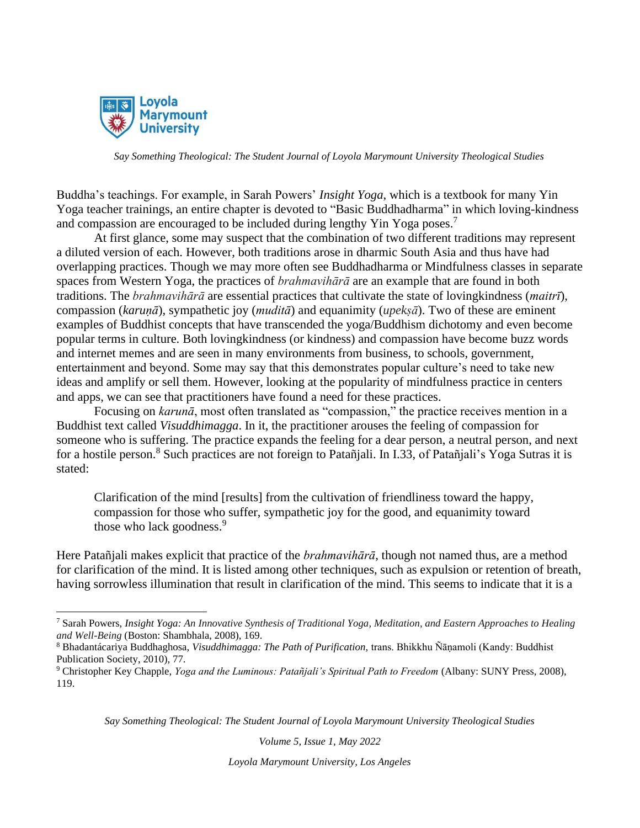

Buddha's teachings. For example, in Sarah Powers' *Insight Yoga*, which is a textbook for many Yin Yoga teacher trainings, an entire chapter is devoted to "Basic Buddhadharma" in which loving-kindness and compassion are encouraged to be included during lengthy Yin Yoga poses.<sup>7</sup>

At first glance, some may suspect that the combination of two different traditions may represent a diluted version of each. However, both traditions arose in dharmic South Asia and thus have had overlapping practices. Though we may more often see Buddhadharma or Mindfulness classes in separate spaces from Western Yoga, the practices of *brahmavihārā* are an example that are found in both traditions. The *brahmavihārā* are essential practices that cultivate the state of lovingkindness (*maitrī*), compassion (*karuṇā*), sympathetic joy (*muditā*) and equanimity (*upekṣā*). Two of these are eminent examples of Buddhist concepts that have transcended the yoga/Buddhism dichotomy and even become popular terms in culture. Both lovingkindness (or kindness) and compassion have become buzz words and internet memes and are seen in many environments from business, to schools, government, entertainment and beyond. Some may say that this demonstrates popular culture's need to take new ideas and amplify or sell them. However, looking at the popularity of mindfulness practice in centers and apps, we can see that practitioners have found a need for these practices.

Focusing on *karunā*, most often translated as "compassion," the practice receives mention in a Buddhist text called *Visuddhimagga*. In it, the practitioner arouses the feeling of compassion for someone who is suffering. The practice expands the feeling for a dear person, a neutral person, and next for a hostile person.<sup>8</sup> Such practices are not foreign to Patañjali. In I.33, of Patañjali's Yoga Sutras it is stated:

Clarification of the mind [results] from the cultivation of friendliness toward the happy, compassion for those who suffer, sympathetic joy for the good, and equanimity toward those who lack goodness.<sup>9</sup>

Here Patañjali makes explicit that practice of the *brahmavihārā*, though not named thus, are a method for clarification of the mind. It is listed among other techniques, such as expulsion or retention of breath, having sorrowless illumination that result in clarification of the mind. This seems to indicate that it is a

*Say Something Theological: The Student Journal of Loyola Marymount University Theological Studies*

*Volume 5, Issue 1, May 2022*

<sup>7</sup> Sarah Powers, *Insight Yoga: An Innovative Synthesis of Traditional Yoga, Meditation, and Eastern Approaches to Healing and Well-Being* (Boston: Shambhala, 2008), 169.

<sup>8</sup> Bhadantácariya Buddhaghosa, *Visuddhimagga: The Path of Purification,* trans. Bhikkhu Ñāṇamoli (Kandy: Buddhist Publication Society, 2010), 77.

<sup>9</sup> Christopher Key Chapple, *Yoga and the Luminous: Patañjali's Spiritual Path to Freedom* (Albany: SUNY Press, 2008), 119.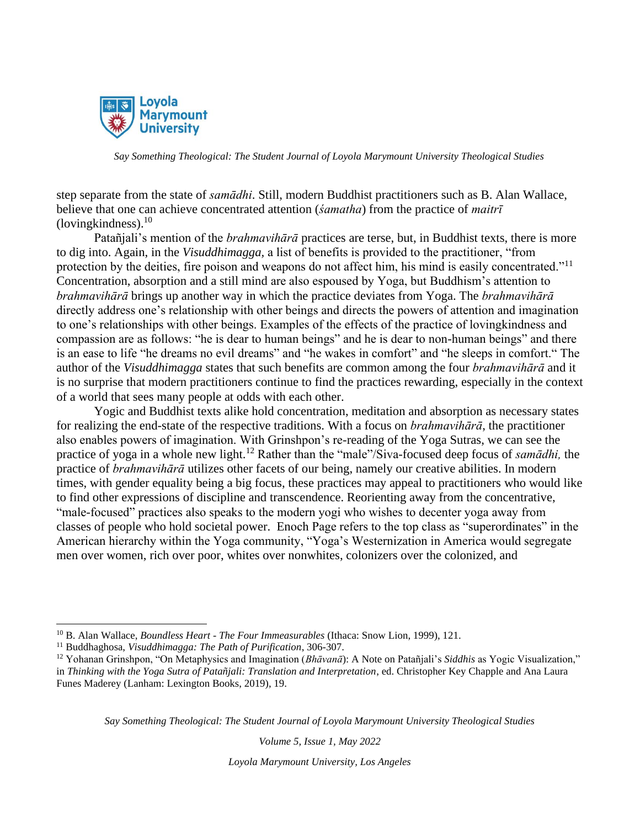

step separate from the state of *samādhi*. Still, modern Buddhist practitioners such as B. Alan Wallace, believe that one can achieve concentrated attention (*śamatha*) from the practice of *maitrī* (loving kindness). $10$ 

Patañjali's mention of the *brahmavihārā* practices are terse, but, in Buddhist texts, there is more to dig into. Again, in the *Visuddhimagga,* a list of benefits is provided to the practitioner, "from protection by the deities, fire poison and weapons do not affect him, his mind is easily concentrated."<sup>11</sup> Concentration, absorption and a still mind are also espoused by Yoga, but Buddhism's attention to *brahmavihārā* brings up another way in which the practice deviates from Yoga. The *brahmavihārā* directly address one's relationship with other beings and directs the powers of attention and imagination to one's relationships with other beings. Examples of the effects of the practice of lovingkindness and compassion are as follows: "he is dear to human beings" and he is dear to non-human beings" and there is an ease to life "he dreams no evil dreams" and "he wakes in comfort" and "he sleeps in comfort." The author of the *Visuddhimagga* states that such benefits are common among the four *brahmavihārā* and it is no surprise that modern practitioners continue to find the practices rewarding, especially in the context of a world that sees many people at odds with each other.

Yogic and Buddhist texts alike hold concentration, meditation and absorption as necessary states for realizing the end-state of the respective traditions. With a focus on *brahmavihārā*, the practitioner also enables powers of imagination. With Grinshpon's re-reading of the Yoga Sutras, we can see the practice of yoga in a whole new light.<sup>12</sup> Rather than the "male"/Siva-focused deep focus of *samādhi,* the practice of *brahmavihārā* utilizes other facets of our being, namely our creative abilities. In modern times, with gender equality being a big focus, these practices may appeal to practitioners who would like to find other expressions of discipline and transcendence. Reorienting away from the concentrative, "male-focused" practices also speaks to the modern yogi who wishes to decenter yoga away from classes of people who hold societal power. Enoch Page refers to the top class as "superordinates" in the American hierarchy within the Yoga community, "Yoga's Westernization in America would segregate men over women, rich over poor, whites over nonwhites, colonizers over the colonized, and

*Say Something Theological: The Student Journal of Loyola Marymount University Theological Studies*

*Volume 5, Issue 1, May 2022*

<sup>10</sup> B. Alan Wallace, *Boundless Heart - The Four Immeasurables* (Ithaca: Snow Lion, 1999), 121.

<sup>11</sup> Buddhaghosa, *Visuddhimagga: The Path of Purification*, 306-307.

<sup>12</sup> Yohanan Grinshpon, "On Metaphysics and Imagination (*Bhāvanā*): A Note on Patañjali's *Siddhis* as Yogic Visualization," in *Thinking with the Yoga Sutra of Patañjali: Translation and Interpretation*, ed. Christopher Key Chapple and Ana Laura Funes Maderey (Lanham: Lexington Books, 2019), 19.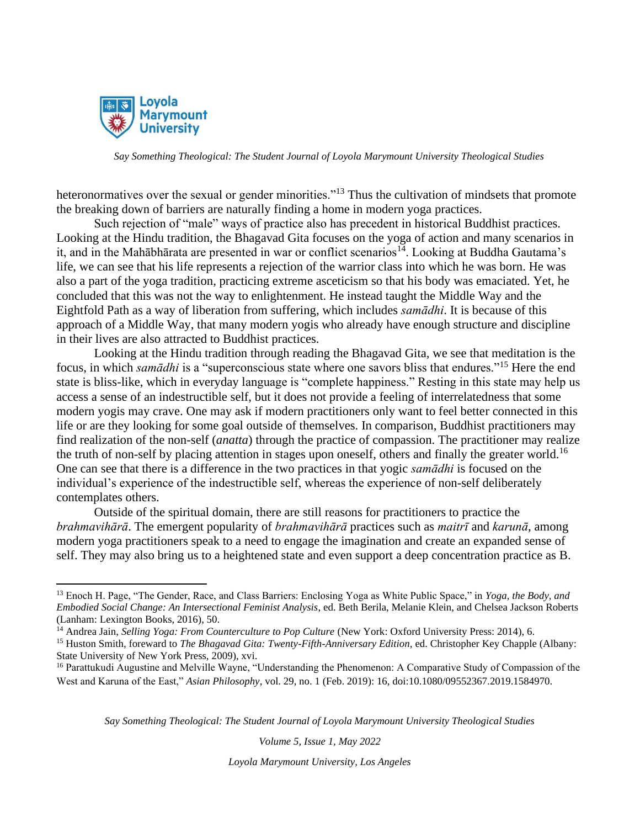

heteronormatives over the sexual or gender minorities."<sup>13</sup> Thus the cultivation of mindsets that promote the breaking down of barriers are naturally finding a home in modern yoga practices.

Such rejection of "male" ways of practice also has precedent in historical Buddhist practices. Looking at the Hindu tradition, the Bhagavad Gita focuses on the yoga of action and many scenarios in it, and in the Mahābhārata are presented in war or conflict scenarios<sup>14</sup>. Looking at Buddha Gautama's life, we can see that his life represents a rejection of the warrior class into which he was born. He was also a part of the yoga tradition, practicing extreme asceticism so that his body was emaciated. Yet, he concluded that this was not the way to enlightenment. He instead taught the Middle Way and the Eightfold Path as a way of liberation from suffering, which includes *samādhi*. It is because of this approach of a Middle Way, that many modern yogis who already have enough structure and discipline in their lives are also attracted to Buddhist practices.

Looking at the Hindu tradition through reading the Bhagavad Gita, we see that meditation is the focus, in which *samādhi* is a "superconscious state where one savors bliss that endures."<sup>15</sup> Here the end state is bliss-like, which in everyday language is "complete happiness." Resting in this state may help us access a sense of an indestructible self, but it does not provide a feeling of interrelatedness that some modern yogis may crave. One may ask if modern practitioners only want to feel better connected in this life or are they looking for some goal outside of themselves. In comparison, Buddhist practitioners may find realization of the non-self (*anatta*) through the practice of compassion. The practitioner may realize the truth of non-self by placing attention in stages upon oneself, others and finally the greater world.<sup>16</sup> One can see that there is a difference in the two practices in that yogic *samādhi* is focused on the individual's experience of the indestructible self, whereas the experience of non-self deliberately contemplates others.

Outside of the spiritual domain, there are still reasons for practitioners to practice the *brahmavihārā*. The emergent popularity of *brahmavihārā* practices such as *maitrī* and *karunā*, among modern yoga practitioners speak to a need to engage the imagination and create an expanded sense of self. They may also bring us to a heightened state and even support a deep concentration practice as B.

*Say Something Theological: The Student Journal of Loyola Marymount University Theological Studies*

*Volume 5, Issue 1, May 2022*

<sup>13</sup> Enoch H. Page, "The Gender, Race, and Class Barriers: Enclosing Yoga as White Public Space," in *Yoga, the Body, and Embodied Social Change: An Intersectional Feminist Analysis*, ed. Beth Berila, Melanie Klein, and Chelsea Jackson Roberts (Lanham: Lexington Books, 2016), 50.

<sup>&</sup>lt;sup>14</sup> Andrea Jain, *Selling Yoga: From Counterculture to Pop Culture* (New York: Oxford University Press: 2014), 6.

<sup>15</sup> Huston Smith, foreward to *The Bhagavad Gita: Twenty-Fifth-Anniversary Edition,* ed. Christopher Key Chapple (Albany: State University of New York Press, 2009), xvi.

<sup>&</sup>lt;sup>16</sup> Parattukudi Augustine and Melville Wayne, "Understanding the Phenomenon: A Comparative Study of Compassion of the West and Karuna of the East," *Asian Philosophy*, vol. 29, no. 1 (Feb. 2019): 16, doi:10.1080/09552367.2019.1584970.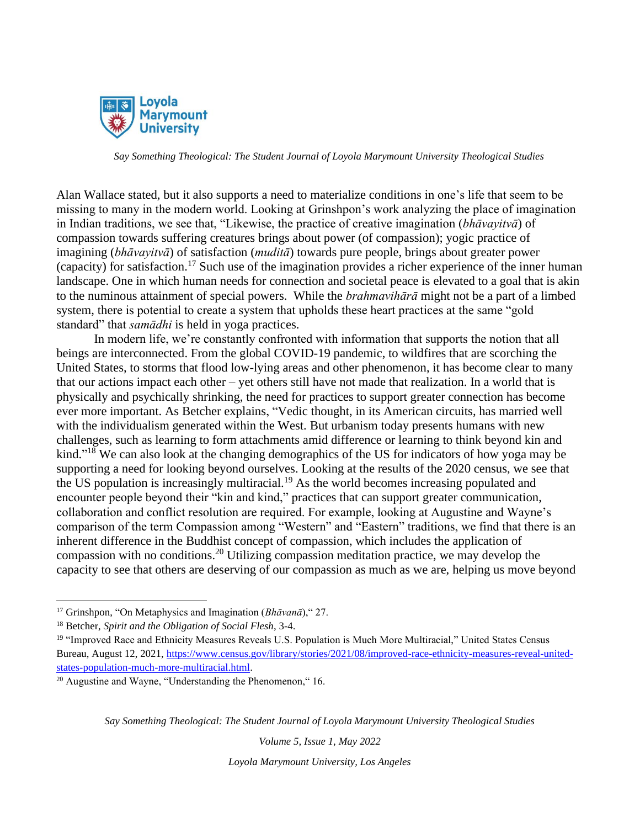

Alan Wallace stated, but it also supports a need to materialize conditions in one's life that seem to be missing to many in the modern world. Looking at Grinshpon's work analyzing the place of imagination in Indian traditions, we see that, "Likewise, the practice of creative imagination (*bhāvayitvā*) of compassion towards suffering creatures brings about power (of compassion); yogic practice of imagining (*bhāvayitvā*) of satisfaction (*muditā*) towards pure people, brings about greater power (capacity) for satisfaction.<sup>17</sup> Such use of the imagination provides a richer experience of the inner human landscape. One in which human needs for connection and societal peace is elevated to a goal that is akin to the numinous attainment of special powers. While the *brahmavihārā* might not be a part of a limbed system, there is potential to create a system that upholds these heart practices at the same "gold standard" that *samādhi* is held in yoga practices.

In modern life, we're constantly confronted with information that supports the notion that all beings are interconnected. From the global COVID-19 pandemic, to wildfires that are scorching the United States, to storms that flood low-lying areas and other phenomenon, it has become clear to many that our actions impact each other – yet others still have not made that realization. In a world that is physically and psychically shrinking, the need for practices to support greater connection has become ever more important. As Betcher explains, "Vedic thought, in its American circuits, has married well with the individualism generated within the West. But urbanism today presents humans with new challenges, such as learning to form attachments amid difference or learning to think beyond kin and kind."<sup>18</sup> We can also look at the changing demographics of the US for indicators of how yoga may be supporting a need for looking beyond ourselves. Looking at the results of the 2020 census, we see that the US population is increasingly multiracial.<sup>19</sup> As the world becomes increasing populated and encounter people beyond their "kin and kind," practices that can support greater communication, collaboration and conflict resolution are required. For example, looking at Augustine and Wayne's comparison of the term Compassion among "Western" and "Eastern" traditions, we find that there is an inherent difference in the Buddhist concept of compassion, which includes the application of compassion with no conditions. <sup>20</sup> Utilizing compassion meditation practice, we may develop the capacity to see that others are deserving of our compassion as much as we are, helping us move beyond

*Say Something Theological: The Student Journal of Loyola Marymount University Theological Studies*

*Volume 5, Issue 1, May 2022*

<sup>17</sup> Grinshpon, "On Metaphysics and Imagination (*Bhāvanā*)," 27.

<sup>18</sup> Betcher, *Spirit and the Obligation of Social Flesh*, 3-4.

<sup>19</sup> "Improved Race and Ethnicity Measures Reveals U.S. Population is Much More Multiracial," United States Census Bureau, August 12, 2021, [https://www.census.gov/library/stories/2021/08/improved-race-ethnicity-measures-reveal-united](https://www.census.gov/library/stories/2021/08/improved-race-ethnicity-measures-reveal-united-states-population-much-more-multiracial.html)[states-population-much-more-multiracial.html.](https://www.census.gov/library/stories/2021/08/improved-race-ethnicity-measures-reveal-united-states-population-much-more-multiracial.html)

<sup>20</sup> Augustine and Wayne, "Understanding the Phenomenon," 16.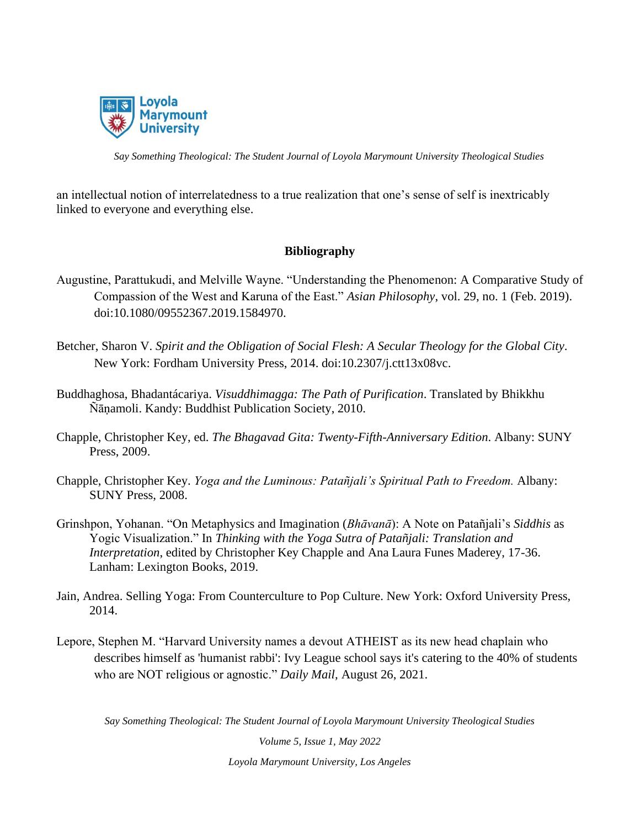

an intellectual notion of interrelatedness to a true realization that one's sense of self is inextricably linked to everyone and everything else.

### **Bibliography**

- Augustine, Parattukudi, and Melville Wayne. "Understanding the Phenomenon: A Comparative Study of Compassion of the West and Karuna of the East." *Asian Philosophy*, vol. 29, no. 1 (Feb. 2019). doi:10.1080/09552367.2019.1584970.
- Betcher, Sharon V. *Spirit and the Obligation of Social Flesh: A Secular Theology for the Global City*. New York: Fordham University Press, 2014. doi:10.2307/j.ctt13x08vc.
- Buddhaghosa, Bhadantácariya. *Visuddhimagga: The Path of Purification*. Translated by Bhikkhu Ñāṇamoli. Kandy: Buddhist Publication Society, 2010.
- Chapple, Christopher Key, ed. *The Bhagavad Gita: Twenty-Fifth-Anniversary Edition*. Albany: SUNY Press, 2009.
- Chapple, Christopher Key. *Yoga and the Luminous: Patañjali's Spiritual Path to Freedom.* Albany: SUNY Press, 2008.
- Grinshpon, Yohanan. "On Metaphysics and Imagination (*Bhāvanā*): A Note on Patañjali's *Siddhis* as Yogic Visualization." In *Thinking with the Yoga Sutra of Patañjali: Translation and Interpretation*, edited by Christopher Key Chapple and Ana Laura Funes Maderey, 17-36. Lanham: Lexington Books, 2019.
- Jain, Andrea. Selling Yoga: From Counterculture to Pop Culture. New York: Oxford University Press, 2014.
- Lepore, Stephen M. "Harvard University names a devout ATHEIST as its new head chaplain who describes himself as 'humanist rabbi': Ivy League school says it's catering to the 40% of students who are NOT religious or agnostic." *Daily Mail,* August 26, 2021.

*Say Something Theological: The Student Journal of Loyola Marymount University Theological Studies*